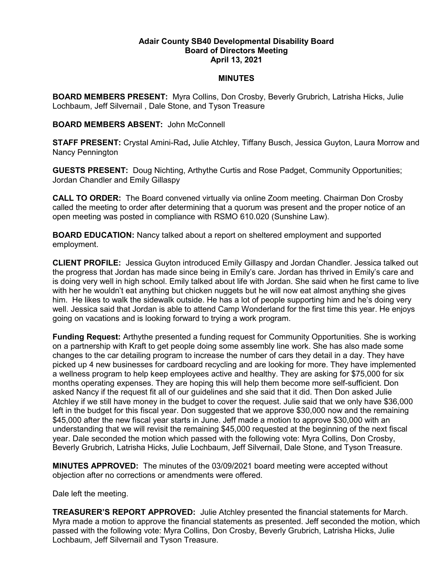## Adair County SB40 Developmental Disability Board Board of Directors Meeting April 13, 2021

## MINUTES

BOARD MEMBERS PRESENT: Myra Collins, Don Crosby, Beverly Grubrich, Latrisha Hicks, Julie Lochbaum, Jeff Silvernail , Dale Stone, and Tyson Treasure

## BOARD MEMBERS ABSENT: John McConnell

STAFF PRESENT: Crystal Amini-Rad, Julie Atchley, Tiffany Busch, Jessica Guyton, Laura Morrow and Nancy Pennington

GUESTS PRESENT: Doug Nichting, Arthythe Curtis and Rose Padget, Community Opportunities; Jordan Chandler and Emily Gillaspy

CALL TO ORDER: The Board convened virtually via online Zoom meeting. Chairman Don Crosby called the meeting to order after determining that a quorum was present and the proper notice of an open meeting was posted in compliance with RSMO 610.020 (Sunshine Law).

BOARD EDUCATION: Nancy talked about a report on sheltered employment and supported employment.

CLIENT PROFILE: Jessica Guyton introduced Emily Gillaspy and Jordan Chandler. Jessica talked out the progress that Jordan has made since being in Emily's care. Jordan has thrived in Emily's care and is doing very well in high school. Emily talked about life with Jordan. She said when he first came to live with her he wouldn't eat anything but chicken nuggets but he will now eat almost anything she gives him. He likes to walk the sidewalk outside. He has a lot of people supporting him and he's doing very well. Jessica said that Jordan is able to attend Camp Wonderland for the first time this year. He enjoys going on vacations and is looking forward to trying a work program.

Funding Request: Arthythe presented a funding request for Community Opportunities. She is working on a partnership with Kraft to get people doing some assembly line work. She has also made some changes to the car detailing program to increase the number of cars they detail in a day. They have picked up 4 new businesses for cardboard recycling and are looking for more. They have implemented a wellness program to help keep employees active and healthy. They are asking for \$75,000 for six months operating expenses. They are hoping this will help them become more self-sufficient. Don asked Nancy if the request fit all of our guidelines and she said that it did. Then Don asked Julie Atchley if we still have money in the budget to cover the request. Julie said that we only have \$36,000 left in the budget for this fiscal year. Don suggested that we approve \$30,000 now and the remaining \$45,000 after the new fiscal year starts in June. Jeff made a motion to approve \$30,000 with an understanding that we will revisit the remaining \$45,000 requested at the beginning of the next fiscal year. Dale seconded the motion which passed with the following vote: Myra Collins, Don Crosby, Beverly Grubrich, Latrisha Hicks, Julie Lochbaum, Jeff Silvernail, Dale Stone, and Tyson Treasure.

MINUTES APPROVED: The minutes of the 03/09/2021 board meeting were accepted without objection after no corrections or amendments were offered.

Dale left the meeting.

TREASURER'S REPORT APPROVED: Julie Atchley presented the financial statements for March. Myra made a motion to approve the financial statements as presented. Jeff seconded the motion, which passed with the following vote: Myra Collins, Don Crosby, Beverly Grubrich, Latrisha Hicks, Julie Lochbaum, Jeff Silvernail and Tyson Treasure.